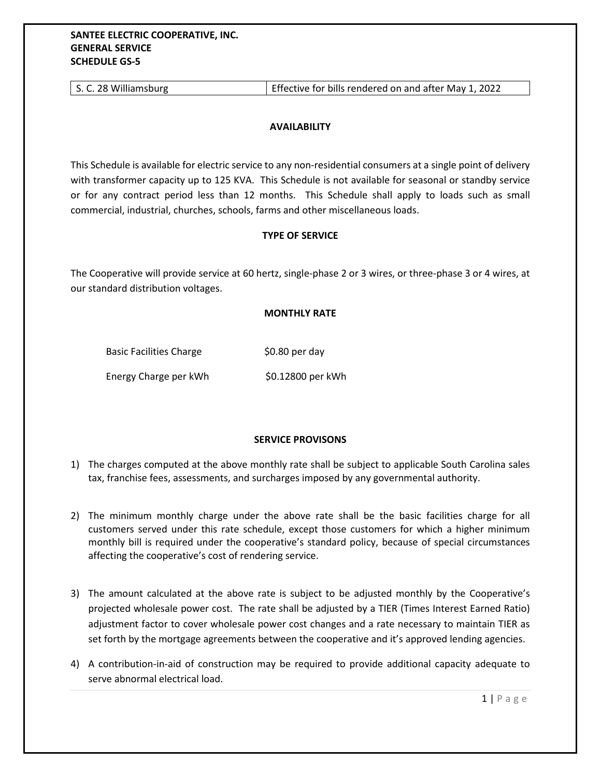| S. C. 28 Williamsburg | Effective for bills rendered on and after May 1, 2022 |
|-----------------------|-------------------------------------------------------|
|-----------------------|-------------------------------------------------------|

## **AVAILABILITY**

This Schedule is available for electric service to any non-residential consumers at a single point of delivery with transformer capacity up to 125 KVA. This Schedule is not available for seasonal or standby service or for any contract period less than 12 months. This Schedule shall apply to loads such as small commercial, industrial, churches, schools, farms and other miscellaneous loads.

## **TYPE OF SERVICE**

The Cooperative will provide service at 60 hertz, single-phase 2 or 3 wires, or three-phase 3 or 4 wires, at our standard distribution voltages.

## **MONTHLY RATE**

Basic Facilities Charge \$0.80 per day

Energy Charge per kWh \$0.12800 per kWh

## **SERVICE PROVISONS**

- 1) The charges computed at the above monthly rate shall be subject to applicable South Carolina sales tax, franchise fees, assessments, and surcharges imposed by any governmental authority.
- 2) The minimum monthly charge under the above rate shall be the basic facilities charge for all customers served under this rate schedule, except those customers for which a higher minimum monthly bill is required under the cooperative's standard policy, because of special circumstances affecting the cooperative's cost of rendering service.
- 3) The amount calculated at the above rate is subject to be adjusted monthly by the Cooperative's projected wholesale power cost. The rate shall be adjusted by a TIER (Times Interest Earned Ratio) adjustment factor to cover wholesale power cost changes and a rate necessary to maintain TIER as set forth by the mortgage agreements between the cooperative and it's approved lending agencies.
- 4) A contribution-in-aid of construction may be required to provide additional capacity adequate to serve abnormal electrical load.